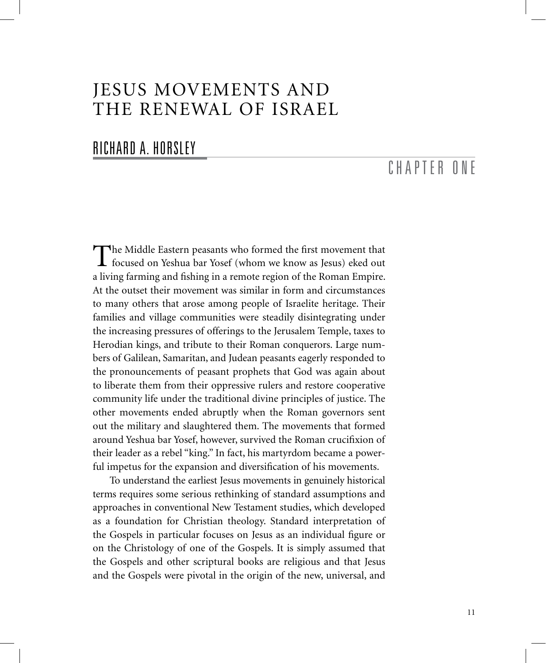## JESUS MOVEMENTS AND THE RENEWAL OF ISRAEL

## RICHARD A. HORSLEY

# CHAPTER ONE

The Middle Eastern peasants who formed the first movement that focused on Yeshua bar Yosef (whom we know as Jesus) eked out a living farming and fishing in a remote region of the Roman Empire. At the outset their movement was similar in form and circumstances to many others that arose among people of Israelite heritage. Their families and village communities were steadily disintegrating under the increasing pressures of offerings to the Jerusalem Temple, taxes to Herodian kings, and tribute to their Roman conquerors. Large numbers of Galilean, Samaritan, and Judean peasants eagerly responded to the pronouncements of peasant prophets that God was again about to liberate them from their oppressive rulers and restore cooperative community life under the traditional divine principles of justice. The other movements ended abruptly when the Roman governors sent out the military and slaughtered them. The movements that formed around Yeshua bar Yosef, however, survived the Roman crucifixion of their leader as a rebel "king." In fact, his martyrdom became a powerful impetus for the expansion and diversification of his movements.

To understand the earliest Jesus movements in genuinely historical terms requires some serious rethinking of standard assumptions and approaches in conventional New Testament studies, which developed as a foundation for Christian theology. Standard interpretation of the Gospels in particular focuses on Jesus as an individual figure or on the Christology of one of the Gospels. It is simply assumed that the Gospels and other scriptural books are religious and that Jesus and the Gospels were pivotal in the origin of the new, universal, and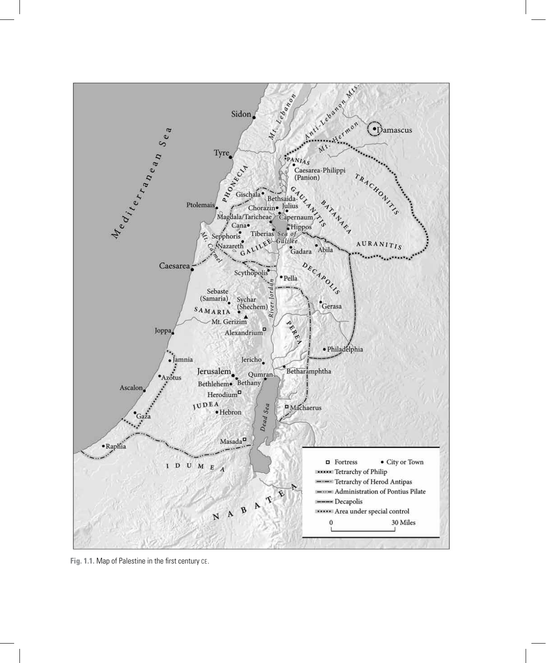

**Fig. 1.1.** Map of Palestine in the first century ce.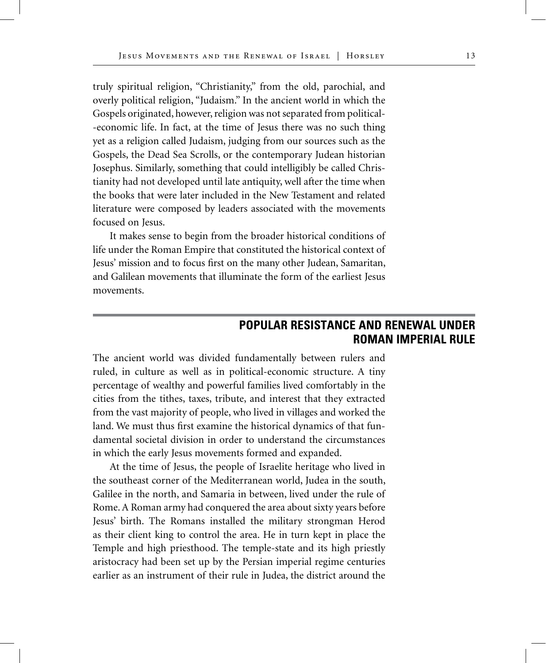truly spiritual religion, "Christianity," from the old, parochial, and overly political religion, "Judaism." In the ancient world in which the Gospels originated, however, religion was not separated from political- -economic life. In fact, at the time of Jesus there was no such thing yet as a religion called Judaism, judging from our sources such as the Gospels, the Dead Sea Scrolls, or the contemporary Judean historian Josephus. Similarly, something that could intelligibly be called Christianity had not developed until late antiquity, well after the time when the books that were later included in the New Testament and related literature were composed by leaders associated with the movements focused on Jesus.

It makes sense to begin from the broader historical conditions of life under the Roman Empire that constituted the historical context of Jesus' mission and to focus first on the many other Judean, Samaritan, and Galilean movements that illuminate the form of the earliest Jesus movements.

## **POPULAR RESISTANCE AND RENEWAL UNDER ROMAN IMPERIAL RULE**

The ancient world was divided fundamentally between rulers and ruled, in culture as well as in political-economic structure. A tiny percentage of wealthy and powerful families lived comfortably in the cities from the tithes, taxes, tribute, and interest that they extracted from the vast majority of people, who lived in villages and worked the land. We must thus first examine the historical dynamics of that fundamental societal division in order to understand the circumstances in which the early Jesus movements formed and expanded.

At the time of Jesus, the people of Israelite heritage who lived in the southeast corner of the Mediterranean world, Judea in the south, Galilee in the north, and Samaria in between, lived under the rule of Rome. A Roman army had conquered the area about sixty years before Jesus' birth. The Romans installed the military strongman Herod as their client king to control the area. He in turn kept in place the Temple and high priesthood. The temple-state and its high priestly aristocracy had been set up by the Persian imperial regime centuries earlier as an instrument of their rule in Judea, the district around the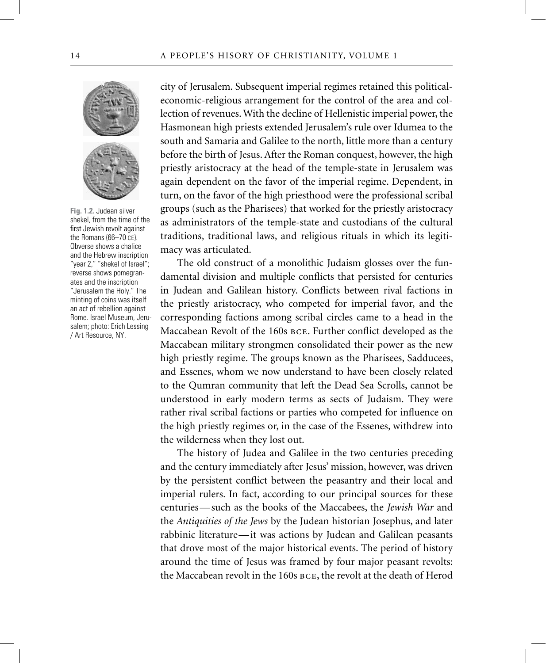



**Fig. 1.2.** Judean silver shekel, from the time of the first Jewish revolt against the Romans (66–70 ce). Obverse shows a chalice and the Hebrew inscription "year 2," "shekel of Israel"; reverse shows pomegranates and the inscription "Jerusalem the Holy." The minting of coins was itself an act of rebellion against Rome. Israel Museum, Jerusalem; photo: Erich Lessing / Art Resource, NY.

city of Jerusalem. Subsequent imperial regimes retained this politicaleconomic-religious arrangement for the control of the area and collection of revenues. With the decline of Hellenistic imperial power, the Hasmonean high priests extended Jerusalem's rule over Idumea to the south and Samaria and Galilee to the north, little more than a century before the birth of Jesus. After the Roman conquest, however, the high priestly aristocracy at the head of the temple-state in Jerusalem was again dependent on the favor of the imperial regime. Dependent, in turn, on the favor of the high priesthood were the professional scribal groups (such as the Pharisees) that worked for the priestly aristocracy as administrators of the temple-state and custodians of the cultural traditions, traditional laws, and religious rituals in which its legitimacy was articulated.

The old construct of a monolithic Judaism glosses over the fundamental division and multiple conflicts that persisted for centuries in Judean and Galilean history. Conflicts between rival factions in the priestly aristocracy, who competed for imperial favor, and the corresponding factions among scribal circles came to a head in the Maccabean Revolt of the 160s bce. Further conflict developed as the Maccabean military strongmen consolidated their power as the new high priestly regime. The groups known as the Pharisees, Sadducees, and Essenes, whom we now understand to have been closely related to the Qumran community that left the Dead Sea Scrolls, cannot be understood in early modern terms as sects of Judaism. They were rather rival scribal factions or parties who competed for influence on the high priestly regimes or, in the case of the Essenes, withdrew into the wilderness when they lost out.

The history of Judea and Galilee in the two centuries preceding and the century immediately after Jesus' mission, however, was driven by the persistent conflict between the peasantry and their local and imperial rulers. In fact, according to our principal sources for these centuries—such as the books of the Maccabees, the *Jewish War* and the *Antiquities of the Jews* by the Judean historian Josephus, and later rabbinic literature—it was actions by Judean and Galilean peasants that drove most of the major historical events. The period of history around the time of Jesus was framed by four major peasant revolts: the Maccabean revolt in the 160s bce, the revolt at the death of Herod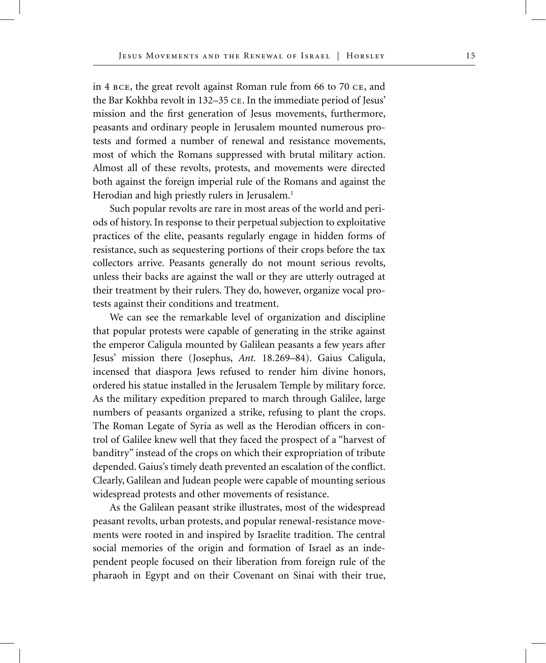in 4 bce, the great revolt against Roman rule from 66 to 70 ce, and the Bar Kokhba revolt in 132–35 ce. In the immediate period of Jesus' mission and the first generation of Jesus movements, furthermore, peasants and ordinary people in Jerusalem mounted numerous protests and formed a number of renewal and resistance movements, most of which the Romans suppressed with brutal military action. Almost all of these revolts, protests, and movements were directed both against the foreign imperial rule of the Romans and against the Herodian and high priestly rulers in Jerusalem.<sup>1</sup>

Such popular revolts are rare in most areas of the world and periods of history. In response to their perpetual subjection to exploitative practices of the elite, peasants regularly engage in hidden forms of resistance, such as sequestering portions of their crops before the tax collectors arrive. Peasants generally do not mount serious revolts, unless their backs are against the wall or they are utterly outraged at their treatment by their rulers. They do, however, organize vocal protests against their conditions and treatment.

We can see the remarkable level of organization and discipline that popular protests were capable of generating in the strike against the emperor Caligula mounted by Galilean peasants a few years after Jesus' mission there (Josephus, *Ant.* 18.269–84). Gaius Caligula, incensed that diaspora Jews refused to render him divine honors, ordered his statue installed in the Jerusalem Temple by military force. As the military expedition prepared to march through Galilee, large numbers of peasants organized a strike, refusing to plant the crops. The Roman Legate of Syria as well as the Herodian officers in control of Galilee knew well that they faced the prospect of a "harvest of banditry" instead of the crops on which their expropriation of tribute depended. Gaius's timely death prevented an escalation of the conflict. Clearly, Galilean and Judean people were capable of mounting serious widespread protests and other movements of resistance.

As the Galilean peasant strike illustrates, most of the widespread peasant revolts, urban protests, and popular renewal-resistance movements were rooted in and inspired by Israelite tradition. The central social memories of the origin and formation of Israel as an independent people focused on their liberation from foreign rule of the pharaoh in Egypt and on their Covenant on Sinai with their true,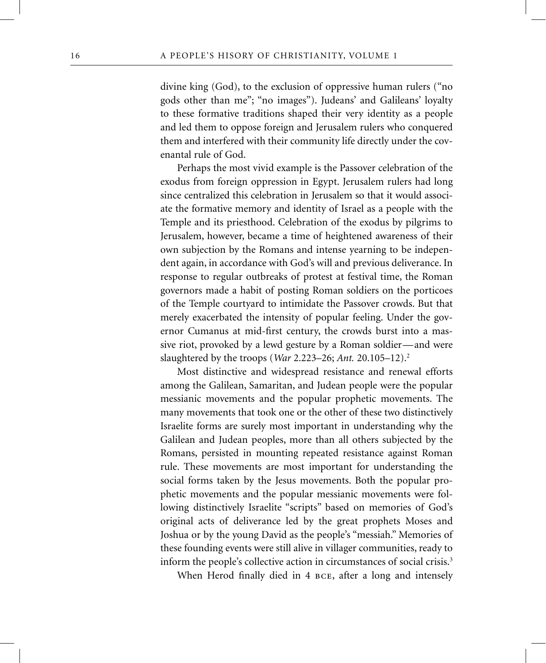divine king (God), to the exclusion of oppressive human rulers ("no gods other than me"; "no images"). Judeans' and Galileans' loyalty to these formative traditions shaped their very identity as a people and led them to oppose foreign and Jerusalem rulers who conquered them and interfered with their community life directly under the covenantal rule of God.

Perhaps the most vivid example is the Passover celebration of the exodus from foreign oppression in Egypt. Jerusalem rulers had long since centralized this celebration in Jerusalem so that it would associate the formative memory and identity of Israel as a people with the Temple and its priesthood. Celebration of the exodus by pilgrims to Jerusalem, however, became a time of heightened awareness of their own subjection by the Romans and intense yearning to be independent again, in accordance with God's will and previous deliverance. In response to regular outbreaks of protest at festival time, the Roman governors made a habit of posting Roman soldiers on the porticoes of the Temple courtyard to intimidate the Passover crowds. But that merely exacerbated the intensity of popular feeling. Under the governor Cumanus at mid-first century, the crowds burst into a massive riot, provoked by a lewd gesture by a Roman soldier—and were slaughtered by the troops (*War* 2.223–26; *Ant.* 20.105–12).2

Most distinctive and widespread resistance and renewal efforts among the Galilean, Samaritan, and Judean people were the popular messianic movements and the popular prophetic movements. The many movements that took one or the other of these two distinctively Israelite forms are surely most important in understanding why the Galilean and Judean peoples, more than all others subjected by the Romans, persisted in mounting repeated resistance against Roman rule. These movements are most important for understanding the social forms taken by the Jesus movements. Both the popular prophetic movements and the popular messianic movements were following distinctively Israelite "scripts" based on memories of God's original acts of deliverance led by the great prophets Moses and Joshua or by the young David as the people's "messiah." Memories of these founding events were still alive in villager communities, ready to inform the people's collective action in circumstances of social crisis.<sup>3</sup>

When Herod finally died in 4 bce, after a long and intensely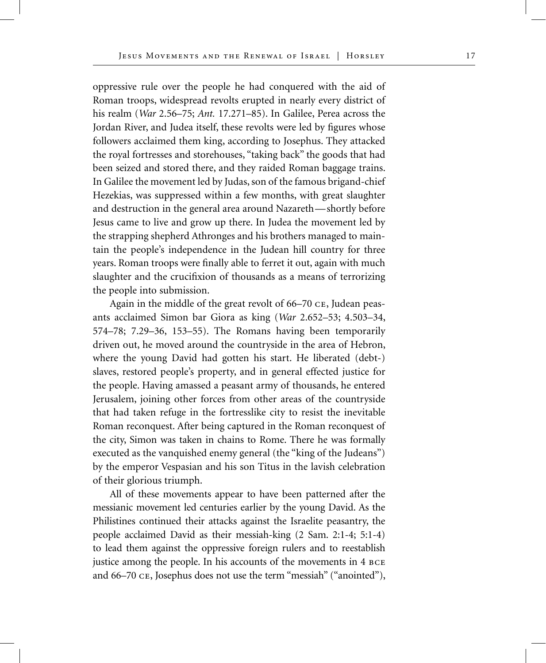oppressive rule over the people he had conquered with the aid of Roman troops, widespread revolts erupted in nearly every district of his realm (*War* 2.56–75; *Ant.* 17.271–85). In Galilee, Perea across the Jordan River, and Judea itself, these revolts were led by figures whose followers acclaimed them king, according to Josephus. They attacked the royal fortresses and storehouses, "taking back" the goods that had been seized and stored there, and they raided Roman baggage trains. In Galilee the movement led by Judas, son of the famous brigand-chief Hezekias, was suppressed within a few months, with great slaughter and destruction in the general area around Nazareth—shortly before Jesus came to live and grow up there. In Judea the movement led by the strapping shepherd Athronges and his brothers managed to maintain the people's independence in the Judean hill country for three years. Roman troops were finally able to ferret it out, again with much slaughter and the crucifixion of thousands as a means of terrorizing the people into submission.

Again in the middle of the great revolt of 66–70 ce, Judean peasants acclaimed Simon bar Giora as king (*War* 2.652–53; 4.503–34, 574–78; 7.29–36, 153–55). The Romans having been temporarily driven out, he moved around the countryside in the area of Hebron, where the young David had gotten his start. He liberated (debt-) slaves, restored people's property, and in general effected justice for the people. Having amassed a peasant army of thousands, he entered Jerusalem, joining other forces from other areas of the countryside that had taken refuge in the fortresslike city to resist the inevitable Roman reconquest. After being captured in the Roman reconquest of the city, Simon was taken in chains to Rome. There he was formally executed as the vanquished enemy general (the "king of the Judeans") by the emperor Vespasian and his son Titus in the lavish celebration of their glorious triumph.

All of these movements appear to have been patterned after the messianic movement led centuries earlier by the young David. As the Philistines continued their attacks against the Israelite peasantry, the people acclaimed David as their messiah-king (2 Sam. 2:1-4; 5:1-4) to lead them against the oppressive foreign rulers and to reestablish justice among the people. In his accounts of the movements in 4 BCE and 66–70 ce, Josephus does not use the term "messiah" ("anointed"),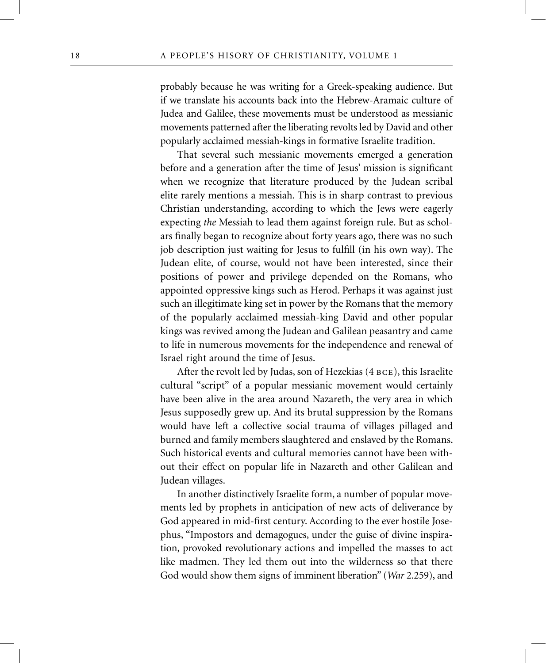probably because he was writing for a Greek-speaking audience. But if we translate his accounts back into the Hebrew-Aramaic culture of Judea and Galilee, these movements must be understood as messianic movements patterned after the liberating revolts led by David and other popularly acclaimed messiah-kings in formative Israelite tradition.

That several such messianic movements emerged a generation before and a generation after the time of Jesus' mission is significant when we recognize that literature produced by the Judean scribal elite rarely mentions a messiah. This is in sharp contrast to previous Christian understanding, according to which the Jews were eagerly expecting *the* Messiah to lead them against foreign rule. But as scholars finally began to recognize about forty years ago, there was no such job description just waiting for Jesus to fulfill (in his own way). The Judean elite, of course, would not have been interested, since their positions of power and privilege depended on the Romans, who appointed oppressive kings such as Herod. Perhaps it was against just such an illegitimate king set in power by the Romans that the memory of the popularly acclaimed messiah-king David and other popular kings was revived among the Judean and Galilean peasantry and came to life in numerous movements for the independence and renewal of Israel right around the time of Jesus.

After the revolt led by Judas, son of Hezekias (4 BCE), this Israelite cultural "script" of a popular messianic movement would certainly have been alive in the area around Nazareth, the very area in which Jesus supposedly grew up. And its brutal suppression by the Romans would have left a collective social trauma of villages pillaged and burned and family members slaughtered and enslaved by the Romans. Such historical events and cultural memories cannot have been without their effect on popular life in Nazareth and other Galilean and Judean villages.

In another distinctively Israelite form, a number of popular movements led by prophets in anticipation of new acts of deliverance by God appeared in mid-first century. According to the ever hostile Josephus, "Impostors and demagogues, under the guise of divine inspiration, provoked revolutionary actions and impelled the masses to act like madmen. They led them out into the wilderness so that there God would show them signs of imminent liberation" (*War* 2.259), and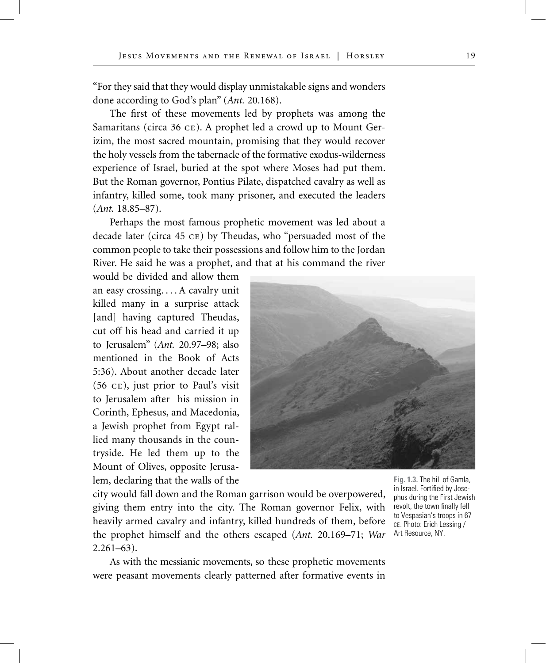"For they said that they would display unmistakable signs and wonders done according to God's plan" (*Ant.* 20.168).

The first of these movements led by prophets was among the Samaritans (circa 36 ce). A prophet led a crowd up to Mount Gerizim, the most sacred mountain, promising that they would recover the holy vessels from the tabernacle of the formative exodus-wilderness experience of Israel, buried at the spot where Moses had put them. But the Roman governor, Pontius Pilate, dispatched cavalry as well as infantry, killed some, took many prisoner, and executed the leaders (*Ant.* 18.85–87).

Perhaps the most famous prophetic movement was led about a decade later (circa 45 ce) by Theudas, who "persuaded most of the common people to take their possessions and follow him to the Jordan River. He said he was a prophet, and that at his command the river

would be divided and allow them an easy crossing. . . . A cavalry unit killed many in a surprise attack [and] having captured Theudas, cut off his head and carried it up to Jerusalem" (*Ant.* 20.97–98; also mentioned in the Book of Acts 5:36). About another decade later (56 ce), just prior to Paul's visit to Jerusalem after his mission in Corinth, Ephesus, and Macedonia, a Jewish prophet from Egypt rallied many thousands in the countryside. He led them up to the Mount of Olives, opposite Jerusalem, declaring that the walls of the



city would fall down and the Roman garrison would be overpowered, giving them entry into the city. The Roman governor Felix, with heavily armed cavalry and infantry, killed hundreds of them, before the prophet himself and the others escaped (*Ant.* 20.169–71; *War* 2.261–63).

**Fig. 1.3.** The hill of Gamla, in Israel. Fortified by Josephus during the First Jewish revolt, the town finally fell to Vespasian's troops in 67 ce. Photo: Erich Lessing / Art Resource, NY.

As with the messianic movements, so these prophetic movements were peasant movements clearly patterned after formative events in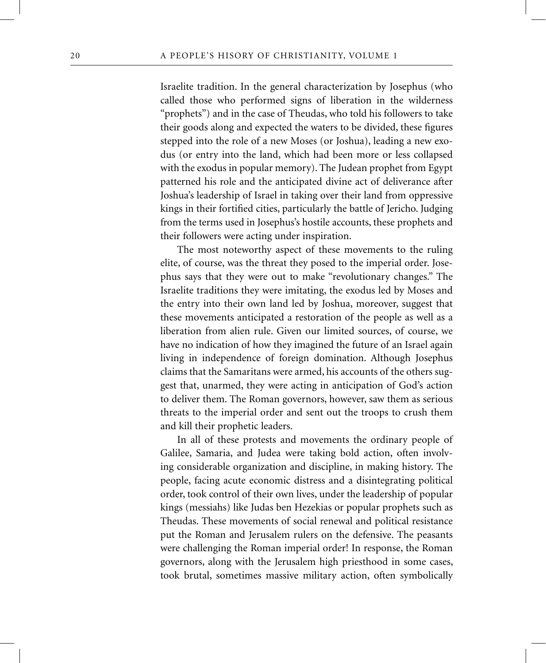Israelite tradition. In the general characterization by Josephus (who called those who performed signs of liberation in the wilderness "prophets") and in the case of Theudas, who told his followers to take their goods along and expected the waters to be divided, these figures stepped into the role of a new Moses (or Joshua), leading a new exodus (or entry into the land, which had been more or less collapsed with the exodus in popular memory). The Judean prophet from Egypt patterned his role and the anticipated divine act of deliverance after Joshua's leadership of Israel in taking over their land from oppressive kings in their fortified cities, particularly the battle of Jericho. Judging from the terms used in Josephus's hostile accounts, these prophets and their followers were acting under inspiration.

The most noteworthy aspect of these movements to the ruling elite, of course, was the threat they posed to the imperial order. Josephus says that they were out to make "revolutionary changes." The Israelite traditions they were imitating, the exodus led by Moses and the entry into their own land led by Joshua, moreover, suggest that these movements anticipated a restoration of the people as well as a liberation from alien rule. Given our limited sources, of course, we have no indication of how they imagined the future of an Israel again living in independence of foreign domination. Although Josephus claims that the Samaritans were armed, his accounts of the others suggest that, unarmed, they were acting in anticipation of God's action to deliver them. The Roman governors, however, saw them as serious threats to the imperial order and sent out the troops to crush them and kill their prophetic leaders.

In all of these protests and movements the ordinary people of Galilee, Samaria, and Judea were taking bold action, often involving considerable organization and discipline, in making history. The people, facing acute economic distress and a disintegrating political order, took control of their own lives, under the leadership of popular kings (messiahs) like Judas ben Hezekias or popular prophets such as Theudas. These movements of social renewal and political resistance put the Roman and Jerusalem rulers on the defensive. The peasants were challenging the Roman imperial order! In response, the Roman governors, along with the Jerusalem high priesthood in some cases, took brutal, sometimes massive military action, often symbolically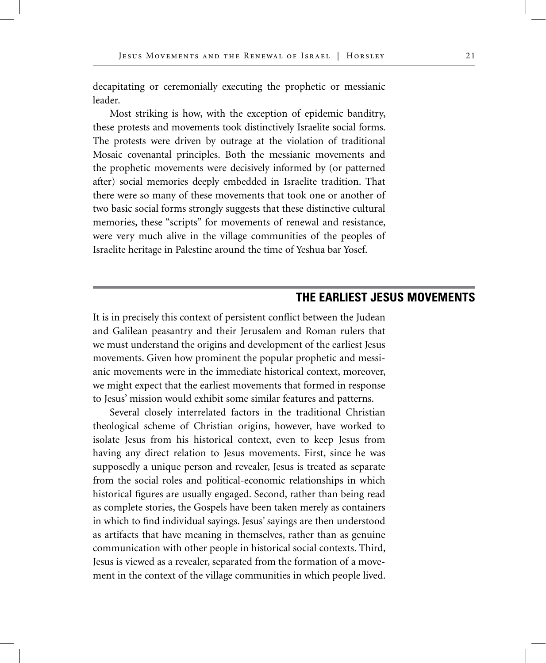decapitating or ceremonially executing the prophetic or messianic leader.

Most striking is how, with the exception of epidemic banditry, these protests and movements took distinctively Israelite social forms. The protests were driven by outrage at the violation of traditional Mosaic covenantal principles. Both the messianic movements and the prophetic movements were decisively informed by (or patterned after) social memories deeply embedded in Israelite tradition. That there were so many of these movements that took one or another of two basic social forms strongly suggests that these distinctive cultural memories, these "scripts" for movements of renewal and resistance, were very much alive in the village communities of the peoples of Israelite heritage in Palestine around the time of Yeshua bar Yosef.

## **THE EARLIEST JESUS MOVEMENTS**

It is in precisely this context of persistent conflict between the Judean and Galilean peasantry and their Jerusalem and Roman rulers that we must understand the origins and development of the earliest Jesus movements. Given how prominent the popular prophetic and messianic movements were in the immediate historical context, moreover, we might expect that the earliest movements that formed in response to Jesus' mission would exhibit some similar features and patterns.

Several closely interrelated factors in the traditional Christian theological scheme of Christian origins, however, have worked to isolate Jesus from his historical context, even to keep Jesus from having any direct relation to Jesus movements. First, since he was supposedly a unique person and revealer, Jesus is treated as separate from the social roles and political-economic relationships in which historical figures are usually engaged. Second, rather than being read as complete stories, the Gospels have been taken merely as containers in which to find individual sayings. Jesus' sayings are then understood as artifacts that have meaning in themselves, rather than as genuine communication with other people in historical social contexts. Third, Jesus is viewed as a revealer, separated from the formation of a movement in the context of the village communities in which people lived.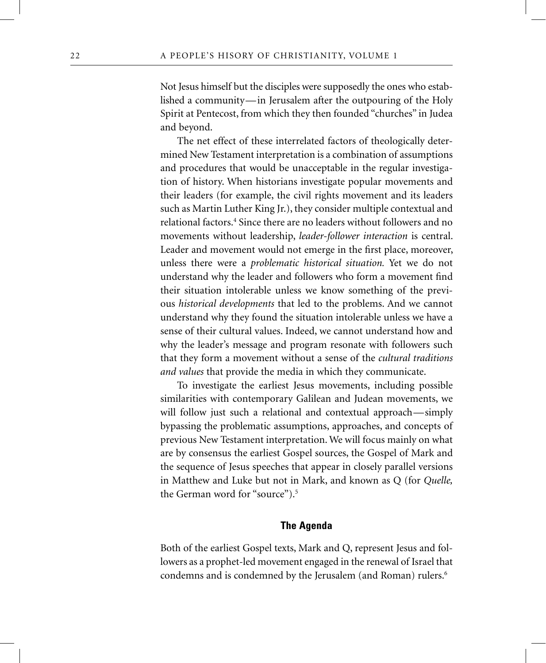Not Jesus himself but the disciples were supposedly the ones who established a community—in Jerusalem after the outpouring of the Holy Spirit at Pentecost, from which they then founded "churches" in Judea and beyond.

The net effect of these interrelated factors of theologically determined New Testament interpretation is a combination of assumptions and procedures that would be unacceptable in the regular investigation of history. When historians investigate popular movements and their leaders (for example, the civil rights movement and its leaders such as Martin Luther King Jr.), they consider multiple contextual and relational factors.<sup>4</sup> Since there are no leaders without followers and no movements without leadership, *leader-follower interaction* is central. Leader and movement would not emerge in the first place, moreover, unless there were a *problematic historical situation.* Yet we do not understand why the leader and followers who form a movement find their situation intolerable unless we know something of the previous *historical developments* that led to the problems. And we cannot understand why they found the situation intolerable unless we have a sense of their cultural values. Indeed, we cannot understand how and why the leader's message and program resonate with followers such that they form a movement without a sense of the *cultural traditions and values* that provide the media in which they communicate.

To investigate the earliest Jesus movements, including possible similarities with contemporary Galilean and Judean movements, we will follow just such a relational and contextual approach—simply bypassing the problematic assumptions, approaches, and concepts of previous New Testament interpretation. We will focus mainly on what are by consensus the earliest Gospel sources, the Gospel of Mark and the sequence of Jesus speeches that appear in closely parallel versions in Matthew and Luke but not in Mark, and known as Q (for *Quelle,* the German word for "source").<sup>5</sup>

#### **The Agenda**

Both of the earliest Gospel texts, Mark and Q, represent Jesus and followers as a prophet-led movement engaged in the renewal of Israel that condemns and is condemned by the Jerusalem (and Roman) rulers.<sup>6</sup>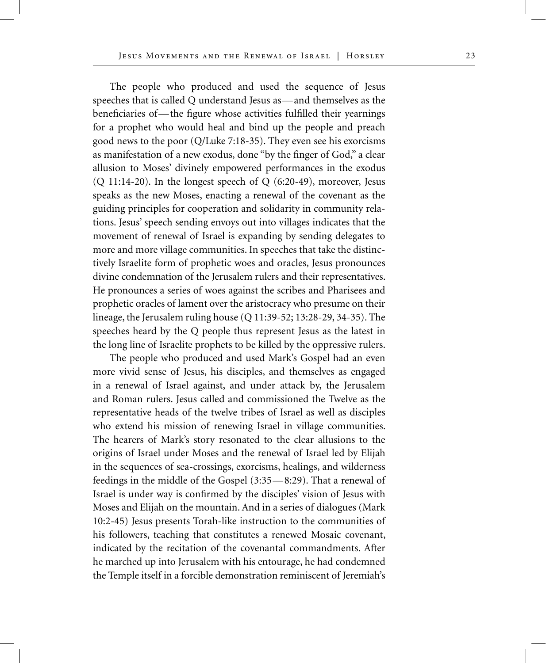The people who produced and used the sequence of Jesus speeches that is called Q understand Jesus as—and themselves as the beneficiaries of—the figure whose activities fulfilled their yearnings for a prophet who would heal and bind up the people and preach good news to the poor (Q/Luke 7:18-35). They even see his exorcisms as manifestation of a new exodus, done "by the finger of God," a clear allusion to Moses' divinely empowered performances in the exodus  $(Q 11:14-20)$ . In the longest speech of  $Q (6:20-49)$ , moreover, Jesus speaks as the new Moses, enacting a renewal of the covenant as the guiding principles for cooperation and solidarity in community relations. Jesus' speech sending envoys out into villages indicates that the movement of renewal of Israel is expanding by sending delegates to more and more village communities. In speeches that take the distinctively Israelite form of prophetic woes and oracles, Jesus pronounces divine condemnation of the Jerusalem rulers and their representatives. He pronounces a series of woes against the scribes and Pharisees and prophetic oracles of lament over the aristocracy who presume on their lineage, the Jerusalem ruling house (Q 11:39-52; 13:28-29, 34-35). The speeches heard by the Q people thus represent Jesus as the latest in the long line of Israelite prophets to be killed by the oppressive rulers.

The people who produced and used Mark's Gospel had an even more vivid sense of Jesus, his disciples, and themselves as engaged in a renewal of Israel against, and under attack by, the Jerusalem and Roman rulers. Jesus called and commissioned the Twelve as the representative heads of the twelve tribes of Israel as well as disciples who extend his mission of renewing Israel in village communities. The hearers of Mark's story resonated to the clear allusions to the origins of Israel under Moses and the renewal of Israel led by Elijah in the sequences of sea-crossings, exorcisms, healings, and wilderness feedings in the middle of the Gospel (3:35—8:29). That a renewal of Israel is under way is confirmed by the disciples' vision of Jesus with Moses and Elijah on the mountain. And in a series of dialogues (Mark 10:2-45) Jesus presents Torah-like instruction to the communities of his followers, teaching that constitutes a renewed Mosaic covenant, indicated by the recitation of the covenantal commandments. After he marched up into Jerusalem with his entourage, he had condemned the Temple itself in a forcible demonstration reminiscent of Jeremiah's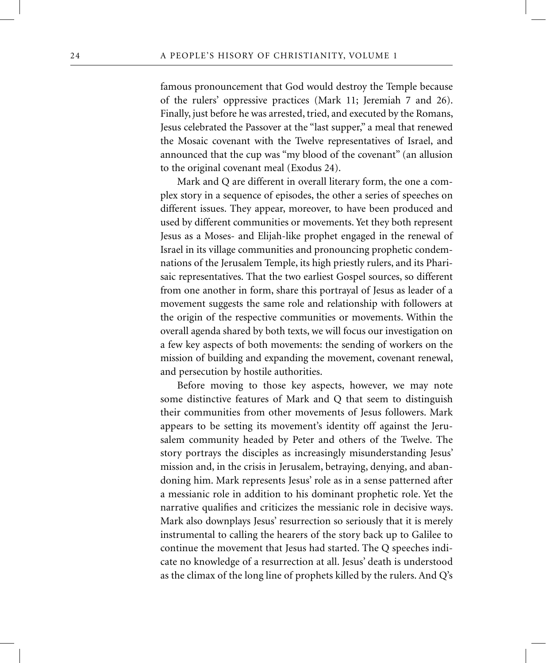famous pronouncement that God would destroy the Temple because of the rulers' oppressive practices (Mark 11; Jeremiah 7 and 26). Finally, just before he was arrested, tried, and executed by the Romans, Jesus celebrated the Passover at the "last supper," a meal that renewed the Mosaic covenant with the Twelve representatives of Israel, and announced that the cup was "my blood of the covenant" (an allusion to the original covenant meal (Exodus 24).

Mark and Q are different in overall literary form, the one a complex story in a sequence of episodes, the other a series of speeches on different issues. They appear, moreover, to have been produced and used by different communities or movements. Yet they both represent Jesus as a Moses- and Elijah-like prophet engaged in the renewal of Israel in its village communities and pronouncing prophetic condemnations of the Jerusalem Temple, its high priestly rulers, and its Pharisaic representatives. That the two earliest Gospel sources, so different from one another in form, share this portrayal of Jesus as leader of a movement suggests the same role and relationship with followers at the origin of the respective communities or movements. Within the overall agenda shared by both texts, we will focus our investigation on a few key aspects of both movements: the sending of workers on the mission of building and expanding the movement, covenant renewal, and persecution by hostile authorities.

Before moving to those key aspects, however, we may note some distinctive features of Mark and Q that seem to distinguish their communities from other movements of Jesus followers. Mark appears to be setting its movement's identity off against the Jerusalem community headed by Peter and others of the Twelve. The story portrays the disciples as increasingly misunderstanding Jesus' mission and, in the crisis in Jerusalem, betraying, denying, and abandoning him. Mark represents Jesus' role as in a sense patterned after a messianic role in addition to his dominant prophetic role. Yet the narrative qualifies and criticizes the messianic role in decisive ways. Mark also downplays Jesus' resurrection so seriously that it is merely instrumental to calling the hearers of the story back up to Galilee to continue the movement that Jesus had started. The Q speeches indicate no knowledge of a resurrection at all. Jesus' death is understood as the climax of the long line of prophets killed by the rulers. And Q's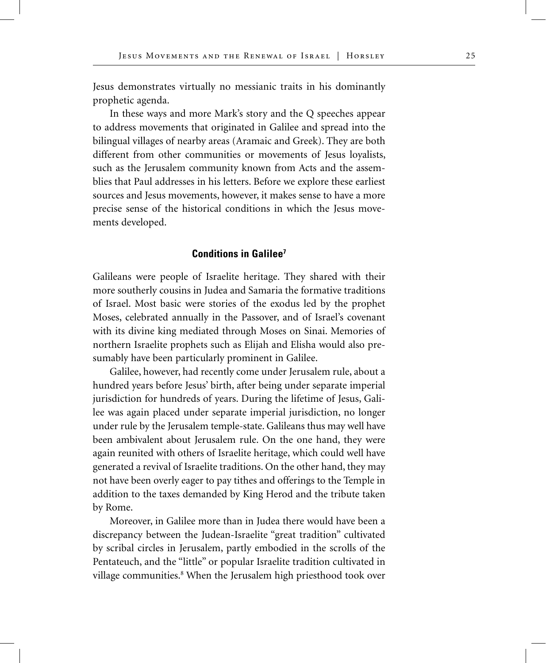Jesus demonstrates virtually no messianic traits in his dominantly prophetic agenda.

In these ways and more Mark's story and the Q speeches appear to address movements that originated in Galilee and spread into the bilingual villages of nearby areas (Aramaic and Greek). They are both different from other communities or movements of Jesus loyalists, such as the Jerusalem community known from Acts and the assemblies that Paul addresses in his letters. Before we explore these earliest sources and Jesus movements, however, it makes sense to have a more precise sense of the historical conditions in which the Jesus movements developed.

#### **Conditions in Galilee7**

Galileans were people of Israelite heritage. They shared with their more southerly cousins in Judea and Samaria the formative traditions of Israel. Most basic were stories of the exodus led by the prophet Moses, celebrated annually in the Passover, and of Israel's covenant with its divine king mediated through Moses on Sinai. Memories of northern Israelite prophets such as Elijah and Elisha would also presumably have been particularly prominent in Galilee.

Galilee, however, had recently come under Jerusalem rule, about a hundred years before Jesus' birth, after being under separate imperial jurisdiction for hundreds of years. During the lifetime of Jesus, Galilee was again placed under separate imperial jurisdiction, no longer under rule by the Jerusalem temple-state. Galileans thus may well have been ambivalent about Jerusalem rule. On the one hand, they were again reunited with others of Israelite heritage, which could well have generated a revival of Israelite traditions. On the other hand, they may not have been overly eager to pay tithes and offerings to the Temple in addition to the taxes demanded by King Herod and the tribute taken by Rome.

Moreover, in Galilee more than in Judea there would have been a discrepancy between the Judean-Israelite "great tradition" cultivated by scribal circles in Jerusalem, partly embodied in the scrolls of the Pentateuch, and the "little" or popular Israelite tradition cultivated in village communities.<sup>8</sup> When the Jerusalem high priesthood took over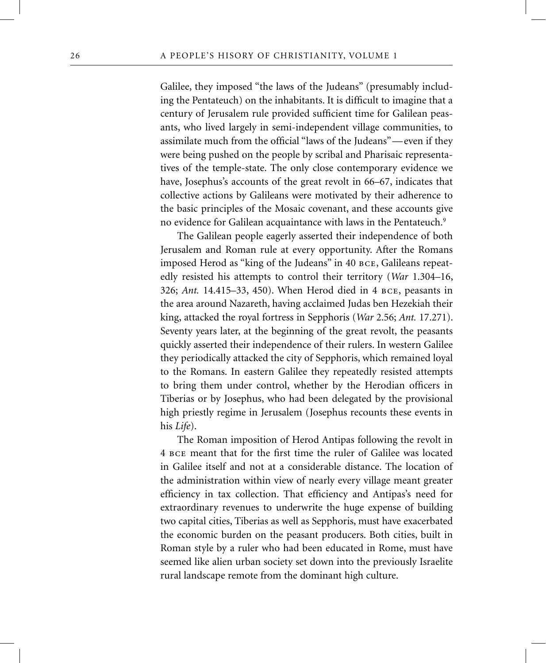Galilee, they imposed "the laws of the Judeans" (presumably including the Pentateuch) on the inhabitants. It is difficult to imagine that a century of Jerusalem rule provided sufficient time for Galilean peasants, who lived largely in semi-independent village communities, to assimilate much from the official "laws of the Judeans"—even if they were being pushed on the people by scribal and Pharisaic representatives of the temple-state. The only close contemporary evidence we have, Josephus's accounts of the great revolt in 66–67, indicates that collective actions by Galileans were motivated by their adherence to the basic principles of the Mosaic covenant, and these accounts give no evidence for Galilean acquaintance with laws in the Pentateuch.<sup>9</sup>

The Galilean people eagerly asserted their independence of both Jerusalem and Roman rule at every opportunity. After the Romans imposed Herod as "king of the Judeans" in 40 bce, Galileans repeatedly resisted his attempts to control their territory (*War* 1.304–16, 326; *Ant.* 14.415–33, 450). When Herod died in 4 bce, peasants in the area around Nazareth, having acclaimed Judas ben Hezekiah their king, attacked the royal fortress in Sepphoris (*War* 2.56; *Ant.* 17.271). Seventy years later, at the beginning of the great revolt, the peasants quickly asserted their independence of their rulers. In western Galilee they periodically attacked the city of Sepphoris, which remained loyal to the Romans. In eastern Galilee they repeatedly resisted attempts to bring them under control, whether by the Herodian officers in Tiberias or by Josephus, who had been delegated by the provisional high priestly regime in Jerusalem (Josephus recounts these events in his *Life*).

The Roman imposition of Herod Antipas following the revolt in 4 bce meant that for the first time the ruler of Galilee was located in Galilee itself and not at a considerable distance. The location of the administration within view of nearly every village meant greater efficiency in tax collection. That efficiency and Antipas's need for extraordinary revenues to underwrite the huge expense of building two capital cities, Tiberias as well as Sepphoris, must have exacerbated the economic burden on the peasant producers. Both cities, built in Roman style by a ruler who had been educated in Rome, must have seemed like alien urban society set down into the previously Israelite rural landscape remote from the dominant high culture.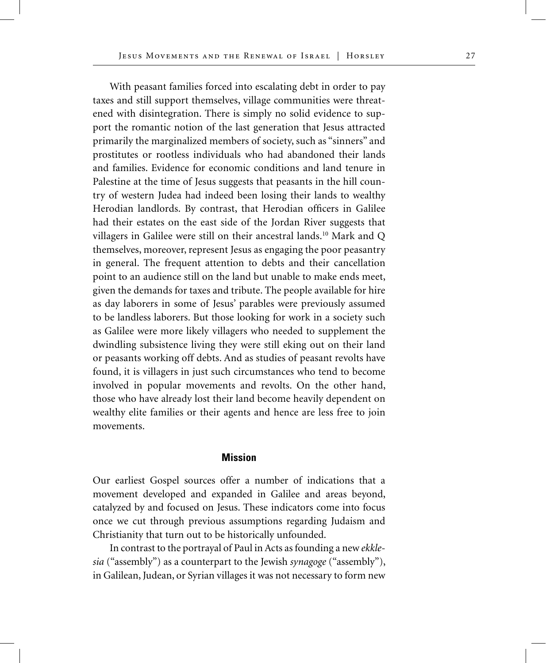With peasant families forced into escalating debt in order to pay taxes and still support themselves, village communities were threatened with disintegration. There is simply no solid evidence to support the romantic notion of the last generation that Jesus attracted primarily the marginalized members of society, such as "sinners" and prostitutes or rootless individuals who had abandoned their lands and families. Evidence for economic conditions and land tenure in Palestine at the time of Jesus suggests that peasants in the hill country of western Judea had indeed been losing their lands to wealthy Herodian landlords. By contrast, that Herodian officers in Galilee had their estates on the east side of the Jordan River suggests that villagers in Galilee were still on their ancestral lands.<sup>10</sup> Mark and Q themselves, moreover, represent Jesus as engaging the poor peasantry in general. The frequent attention to debts and their cancellation point to an audience still on the land but unable to make ends meet, given the demands for taxes and tribute. The people available for hire as day laborers in some of Jesus' parables were previously assumed to be landless laborers. But those looking for work in a society such as Galilee were more likely villagers who needed to supplement the dwindling subsistence living they were still eking out on their land or peasants working off debts. And as studies of peasant revolts have found, it is villagers in just such circumstances who tend to become involved in popular movements and revolts. On the other hand, those who have already lost their land become heavily dependent on wealthy elite families or their agents and hence are less free to join movements.

#### **Mission**

Our earliest Gospel sources offer a number of indications that a movement developed and expanded in Galilee and areas beyond, catalyzed by and focused on Jesus. These indicators come into focus once we cut through previous assumptions regarding Judaism and Christianity that turn out to be historically unfounded.

In contrast to the portrayal of Paul in Acts as founding a new *ekklesia* ("assembly") as a counterpart to the Jewish *synagoge* ("assembly"), in Galilean, Judean, or Syrian villages it was not necessary to form new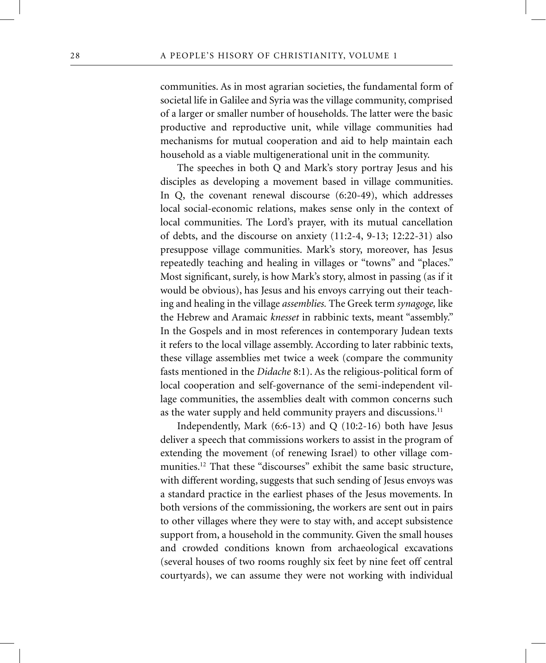communities. As in most agrarian societies, the fundamental form of societal life in Galilee and Syria was the village community, comprised of a larger or smaller number of households. The latter were the basic productive and reproductive unit, while village communities had mechanisms for mutual cooperation and aid to help maintain each household as a viable multigenerational unit in the community.

The speeches in both Q and Mark's story portray Jesus and his disciples as developing a movement based in village communities. In Q, the covenant renewal discourse (6:20-49), which addresses local social-economic relations, makes sense only in the context of local communities. The Lord's prayer, with its mutual cancellation of debts, and the discourse on anxiety (11:2-4, 9-13; 12:22-31) also presuppose village communities. Mark's story, moreover, has Jesus repeatedly teaching and healing in villages or "towns" and "places." Most significant, surely, is how Mark's story, almost in passing (as if it would be obvious), has Jesus and his envoys carrying out their teaching and healing in the village *assemblies.* The Greek term *synagoge,* like the Hebrew and Aramaic *knesset* in rabbinic texts, meant "assembly." In the Gospels and in most references in contemporary Judean texts it refers to the local village assembly. According to later rabbinic texts, these village assemblies met twice a week (compare the community fasts mentioned in the *Didache* 8:1). As the religious-political form of local cooperation and self-governance of the semi-independent village communities, the assemblies dealt with common concerns such as the water supply and held community prayers and discussions.<sup>11</sup>

Independently, Mark  $(6:6-13)$  and Q  $(10:2-16)$  both have Jesus deliver a speech that commissions workers to assist in the program of extending the movement (of renewing Israel) to other village communities.<sup>12</sup> That these "discourses" exhibit the same basic structure, with different wording, suggests that such sending of Jesus envoys was a standard practice in the earliest phases of the Jesus movements. In both versions of the commissioning, the workers are sent out in pairs to other villages where they were to stay with, and accept subsistence support from, a household in the community. Given the small houses and crowded conditions known from archaeological excavations (several houses of two rooms roughly six feet by nine feet off central courtyards), we can assume they were not working with individual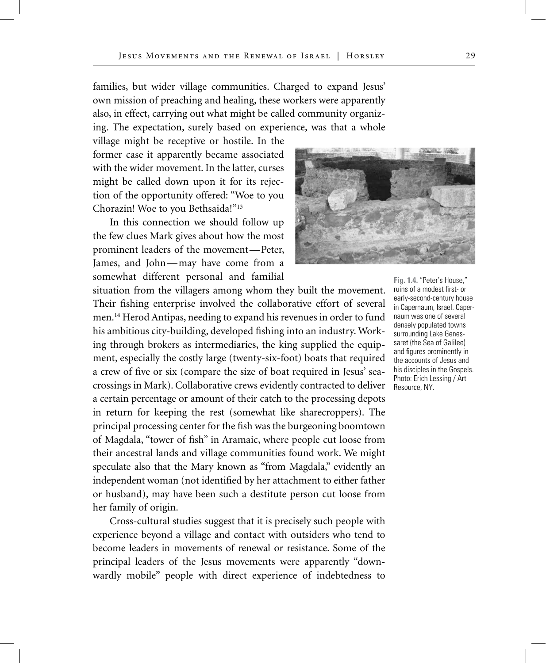families, but wider village communities. Charged to expand Jesus' own mission of preaching and healing, these workers were apparently also, in effect, carrying out what might be called community organizing. The expectation, surely based on experience, was that a whole

village might be receptive or hostile. In the former case it apparently became associated with the wider movement. In the latter, curses might be called down upon it for its rejection of the opportunity offered: "Woe to you Chorazin! Woe to you Bethsaida!"13

In this connection we should follow up the few clues Mark gives about how the most prominent leaders of the movement—Peter, James, and John—may have come from a somewhat different personal and familial

situation from the villagers among whom they built the movement. Their fishing enterprise involved the collaborative effort of several men.14 Herod Antipas, needing to expand his revenues in order to fund his ambitious city-building, developed fishing into an industry. Working through brokers as intermediaries, the king supplied the equipment, especially the costly large (twenty-six-foot) boats that required a crew of five or six (compare the size of boat required in Jesus' seacrossings in Mark). Collaborative crews evidently contracted to deliver a certain percentage or amount of their catch to the processing depots in return for keeping the rest (somewhat like sharecroppers). The principal processing center for the fish was the burgeoning boomtown of Magdala, "tower of fish" in Aramaic, where people cut loose from their ancestral lands and village communities found work. We might speculate also that the Mary known as "from Magdala," evidently an independent woman (not identified by her attachment to either father or husband), may have been such a destitute person cut loose from her family of origin.

Cross-cultural studies suggest that it is precisely such people with experience beyond a village and contact with outsiders who tend to become leaders in movements of renewal or resistance. Some of the principal leaders of the Jesus movements were apparently "downwardly mobile" people with direct experience of indebtedness to



**Fig. 1.4.** "Peter's House," ruins of a modest first- or early-second-century house in Capernaum, Israel. Capernaum was one of several densely populated towns surrounding Lake Genessaret (the Sea of Galilee) and figures prominently in the accounts of Jesus and his disciples in the Gospels. Photo: Erich Lessing / Art Resource, NY.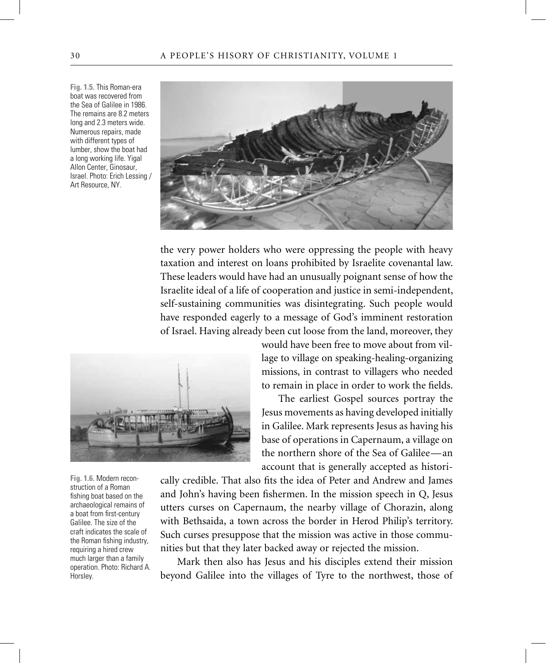**Fig. 1.5.** This Roman-era boat was recovered from the Sea of Galilee in 1986. The remains are 8.2 meters long and 2.3 meters wide. Numerous repairs, made with different types of lumber, show the boat had a long working life. Yigal Allon Center, Ginosaur, Israel. Photo: Erich Lessing / Art Resource, NY.



the very power holders who were oppressing the people with heavy taxation and interest on loans prohibited by Israelite covenantal law. These leaders would have had an unusually poignant sense of how the Israelite ideal of a life of cooperation and justice in semi-independent, self-sustaining communities was disintegrating. Such people would have responded eagerly to a message of God's imminent restoration of Israel. Having already been cut loose from the land, moreover, they



**Fig. 1.6.** Modern reconstruction of a Roman fishing boat based on the archaeological remains of a boat from first-century Galilee. The size of the craft indicates the scale of the Roman fishing industry, requiring a hired crew much larger than a family operation. Photo: Richard A. Horsley.

would have been free to move about from village to village on speaking-healing-organizing missions, in contrast to villagers who needed to remain in place in order to work the fields.

The earliest Gospel sources portray the Jesus movements as having developed initially in Galilee. Mark represents Jesus as having his base of operations in Capernaum, a village on the northern shore of the Sea of Galilee—an account that is generally accepted as histori-

cally credible. That also fits the idea of Peter and Andrew and James and John's having been fishermen. In the mission speech in Q, Jesus utters curses on Capernaum, the nearby village of Chorazin, along with Bethsaida, a town across the border in Herod Philip's territory. Such curses presuppose that the mission was active in those communities but that they later backed away or rejected the mission.

Mark then also has Jesus and his disciples extend their mission beyond Galilee into the villages of Tyre to the northwest, those of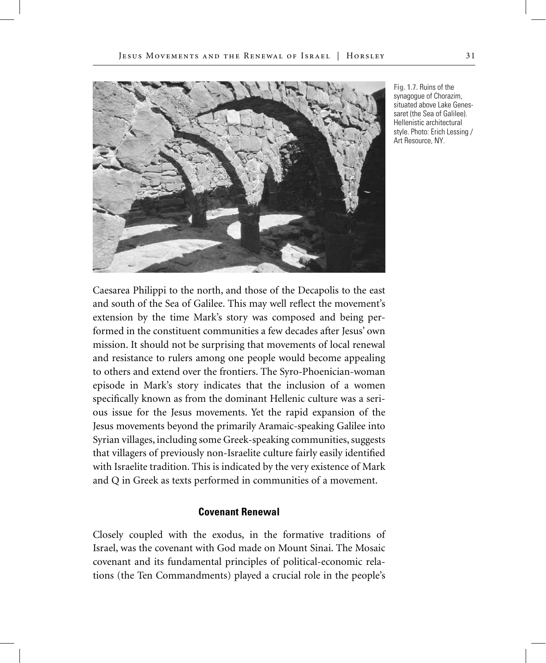

**Fig. 1.7.** Ruins of the synagogue of Chorazim, situated above Lake Genessaret (the Sea of Galilee). Hellenistic architectural style. Photo: Erich Lessing / Art Resource, NY.

Caesarea Philippi to the north, and those of the Decapolis to the east and south of the Sea of Galilee. This may well reflect the movement's extension by the time Mark's story was composed and being performed in the constituent communities a few decades after Jesus' own mission. It should not be surprising that movements of local renewal and resistance to rulers among one people would become appealing to others and extend over the frontiers. The Syro-Phoenician-woman episode in Mark's story indicates that the inclusion of a women specifically known as from the dominant Hellenic culture was a serious issue for the Jesus movements. Yet the rapid expansion of the Jesus movements beyond the primarily Aramaic-speaking Galilee into Syrian villages, including some Greek-speaking communities, suggests that villagers of previously non-Israelite culture fairly easily identified with Israelite tradition. This is indicated by the very existence of Mark and Q in Greek as texts performed in communities of a movement.

#### **Covenant Renewal**

Closely coupled with the exodus, in the formative traditions of Israel, was the covenant with God made on Mount Sinai. The Mosaic covenant and its fundamental principles of political-economic relations (the Ten Commandments) played a crucial role in the people's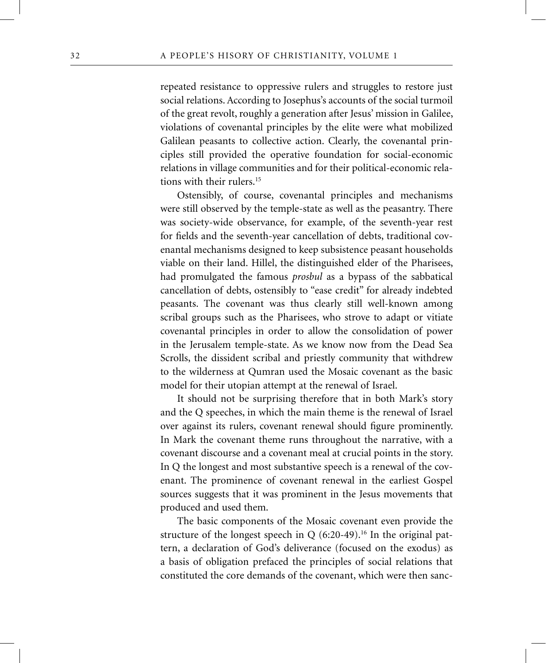repeated resistance to oppressive rulers and struggles to restore just social relations. According to Josephus's accounts of the social turmoil of the great revolt, roughly a generation after Jesus' mission in Galilee, violations of covenantal principles by the elite were what mobilized Galilean peasants to collective action. Clearly, the covenantal principles still provided the operative foundation for social-economic relations in village communities and for their political-economic relations with their rulers.<sup>15</sup>

Ostensibly, of course, covenantal principles and mechanisms were still observed by the temple-state as well as the peasantry. There was society-wide observance, for example, of the seventh-year rest for fields and the seventh-year cancellation of debts, traditional covenantal mechanisms designed to keep subsistence peasant households viable on their land. Hillel, the distinguished elder of the Pharisees, had promulgated the famous *prosbul* as a bypass of the sabbatical cancellation of debts, ostensibly to "ease credit" for already indebted peasants. The covenant was thus clearly still well-known among scribal groups such as the Pharisees, who strove to adapt or vitiate covenantal principles in order to allow the consolidation of power in the Jerusalem temple-state. As we know now from the Dead Sea Scrolls, the dissident scribal and priestly community that withdrew to the wilderness at Qumran used the Mosaic covenant as the basic model for their utopian attempt at the renewal of Israel.

It should not be surprising therefore that in both Mark's story and the Q speeches, in which the main theme is the renewal of Israel over against its rulers, covenant renewal should figure prominently. In Mark the covenant theme runs throughout the narrative, with a covenant discourse and a covenant meal at crucial points in the story. In Q the longest and most substantive speech is a renewal of the covenant. The prominence of covenant renewal in the earliest Gospel sources suggests that it was prominent in the Jesus movements that produced and used them.

The basic components of the Mosaic covenant even provide the structure of the longest speech in  $Q$  (6:20-49).<sup>16</sup> In the original pattern, a declaration of God's deliverance (focused on the exodus) as a basis of obligation prefaced the principles of social relations that constituted the core demands of the covenant, which were then sanc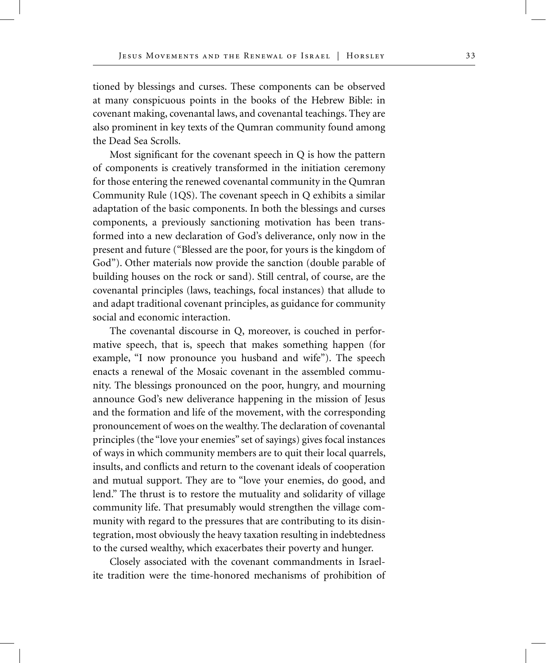tioned by blessings and curses. These components can be observed at many conspicuous points in the books of the Hebrew Bible: in covenant making, covenantal laws, and covenantal teachings. They are also prominent in key texts of the Qumran community found among the Dead Sea Scrolls.

Most significant for the covenant speech in Q is how the pattern of components is creatively transformed in the initiation ceremony for those entering the renewed covenantal community in the Qumran Community Rule (1QS). The covenant speech in Q exhibits a similar adaptation of the basic components. In both the blessings and curses components, a previously sanctioning motivation has been transformed into a new declaration of God's deliverance, only now in the present and future ("Blessed are the poor, for yours is the kingdom of God"). Other materials now provide the sanction (double parable of building houses on the rock or sand). Still central, of course, are the covenantal principles (laws, teachings, focal instances) that allude to and adapt traditional covenant principles, as guidance for community social and economic interaction.

The covenantal discourse in Q, moreover, is couched in performative speech, that is, speech that makes something happen (for example, "I now pronounce you husband and wife"). The speech enacts a renewal of the Mosaic covenant in the assembled community. The blessings pronounced on the poor, hungry, and mourning announce God's new deliverance happening in the mission of Jesus and the formation and life of the movement, with the corresponding pronouncement of woes on the wealthy. The declaration of covenantal principles (the "love your enemies" set of sayings) gives focal instances of ways in which community members are to quit their local quarrels, insults, and conflicts and return to the covenant ideals of cooperation and mutual support. They are to "love your enemies, do good, and lend." The thrust is to restore the mutuality and solidarity of village community life. That presumably would strengthen the village community with regard to the pressures that are contributing to its disintegration, most obviously the heavy taxation resulting in indebtedness to the cursed wealthy, which exacerbates their poverty and hunger.

Closely associated with the covenant commandments in Israelite tradition were the time-honored mechanisms of prohibition of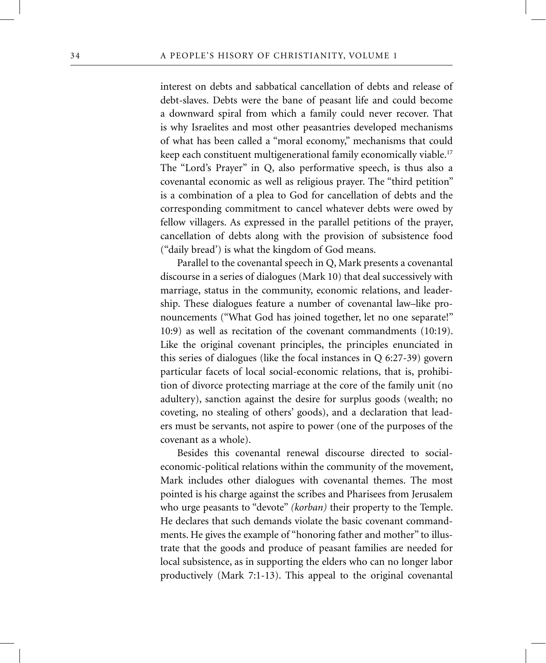interest on debts and sabbatical cancellation of debts and release of debt-slaves. Debts were the bane of peasant life and could become a downward spiral from which a family could never recover. That is why Israelites and most other peasantries developed mechanisms of what has been called a "moral economy," mechanisms that could keep each constituent multigenerational family economically viable.<sup>17</sup> The "Lord's Prayer" in Q, also performative speech, is thus also a covenantal economic as well as religious prayer. The "third petition" is a combination of a plea to God for cancellation of debts and the corresponding commitment to cancel whatever debts were owed by fellow villagers. As expressed in the parallel petitions of the prayer, cancellation of debts along with the provision of subsistence food ("daily bread') is what the kingdom of God means.

Parallel to the covenantal speech in Q, Mark presents a covenantal discourse in a series of dialogues (Mark 10) that deal successively with marriage, status in the community, economic relations, and leadership. These dialogues feature a number of covenantal law–like pronouncements ("What God has joined together, let no one separate!" 10:9) as well as recitation of the covenant commandments (10:19). Like the original covenant principles, the principles enunciated in this series of dialogues (like the focal instances in Q 6:27-39) govern particular facets of local social-economic relations, that is, prohibition of divorce protecting marriage at the core of the family unit (no adultery), sanction against the desire for surplus goods (wealth; no coveting, no stealing of others' goods), and a declaration that leaders must be servants, not aspire to power (one of the purposes of the covenant as a whole).

Besides this covenantal renewal discourse directed to socialeconomic-political relations within the community of the movement, Mark includes other dialogues with covenantal themes. The most pointed is his charge against the scribes and Pharisees from Jerusalem who urge peasants to "devote" *(korban)* their property to the Temple. He declares that such demands violate the basic covenant commandments. He gives the example of "honoring father and mother" to illustrate that the goods and produce of peasant families are needed for local subsistence, as in supporting the elders who can no longer labor productively (Mark 7:1-13). This appeal to the original covenantal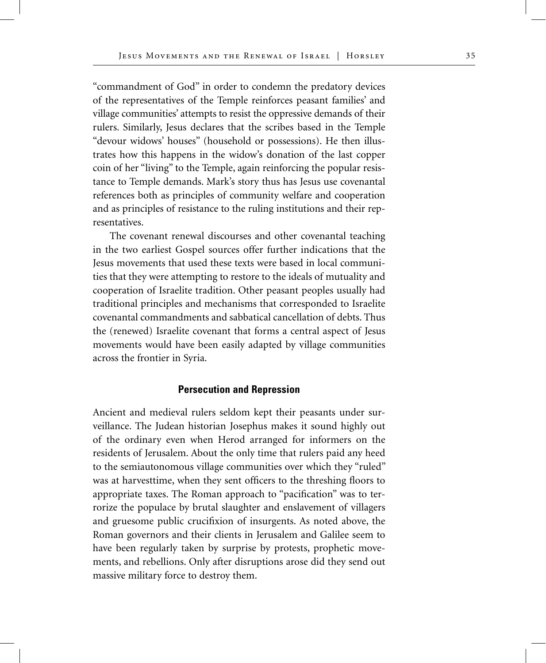"commandment of God" in order to condemn the predatory devices of the representatives of the Temple reinforces peasant families' and village communities' attempts to resist the oppressive demands of their rulers. Similarly, Jesus declares that the scribes based in the Temple "devour widows' houses" (household or possessions). He then illustrates how this happens in the widow's donation of the last copper coin of her "living" to the Temple, again reinforcing the popular resistance to Temple demands. Mark's story thus has Jesus use covenantal references both as principles of community welfare and cooperation and as principles of resistance to the ruling institutions and their representatives.

The covenant renewal discourses and other covenantal teaching in the two earliest Gospel sources offer further indications that the Jesus movements that used these texts were based in local communities that they were attempting to restore to the ideals of mutuality and cooperation of Israelite tradition. Other peasant peoples usually had traditional principles and mechanisms that corresponded to Israelite covenantal commandments and sabbatical cancellation of debts. Thus the (renewed) Israelite covenant that forms a central aspect of Jesus movements would have been easily adapted by village communities across the frontier in Syria.

#### **Persecution and Repression**

Ancient and medieval rulers seldom kept their peasants under surveillance. The Judean historian Josephus makes it sound highly out of the ordinary even when Herod arranged for informers on the residents of Jerusalem. About the only time that rulers paid any heed to the semiautonomous village communities over which they "ruled" was at harvesttime, when they sent officers to the threshing floors to appropriate taxes. The Roman approach to "pacification" was to terrorize the populace by brutal slaughter and enslavement of villagers and gruesome public crucifixion of insurgents. As noted above, the Roman governors and their clients in Jerusalem and Galilee seem to have been regularly taken by surprise by protests, prophetic movements, and rebellions. Only after disruptions arose did they send out massive military force to destroy them.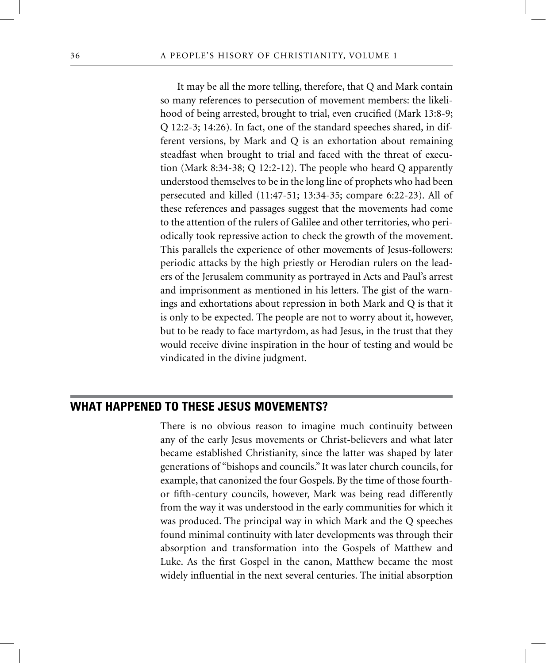It may be all the more telling, therefore, that Q and Mark contain so many references to persecution of movement members: the likelihood of being arrested, brought to trial, even crucified (Mark 13:8-9; Q 12:2-3; 14:26). In fact, one of the standard speeches shared, in different versions, by Mark and Q is an exhortation about remaining steadfast when brought to trial and faced with the threat of execution (Mark 8:34-38; Q 12:2-12). The people who heard Q apparently understood themselves to be in the long line of prophets who had been persecuted and killed (11:47-51; 13:34-35; compare 6:22-23). All of these references and passages suggest that the movements had come to the attention of the rulers of Galilee and other territories, who periodically took repressive action to check the growth of the movement. This parallels the experience of other movements of Jesus-followers: periodic attacks by the high priestly or Herodian rulers on the leaders of the Jerusalem community as portrayed in Acts and Paul's arrest and imprisonment as mentioned in his letters. The gist of the warnings and exhortations about repression in both Mark and Q is that it is only to be expected. The people are not to worry about it, however, but to be ready to face martyrdom, as had Jesus, in the trust that they would receive divine inspiration in the hour of testing and would be vindicated in the divine judgment.

### **WHAT HAPPENED TO THESE JESUS MOVEMENTS?**

There is no obvious reason to imagine much continuity between any of the early Jesus movements or Christ-believers and what later became established Christianity, since the latter was shaped by later generations of "bishops and councils." It was later church councils, for example, that canonized the four Gospels. By the time of those fourthor fifth-century councils, however, Mark was being read differently from the way it was understood in the early communities for which it was produced. The principal way in which Mark and the Q speeches found minimal continuity with later developments was through their absorption and transformation into the Gospels of Matthew and Luke. As the first Gospel in the canon, Matthew became the most widely influential in the next several centuries. The initial absorption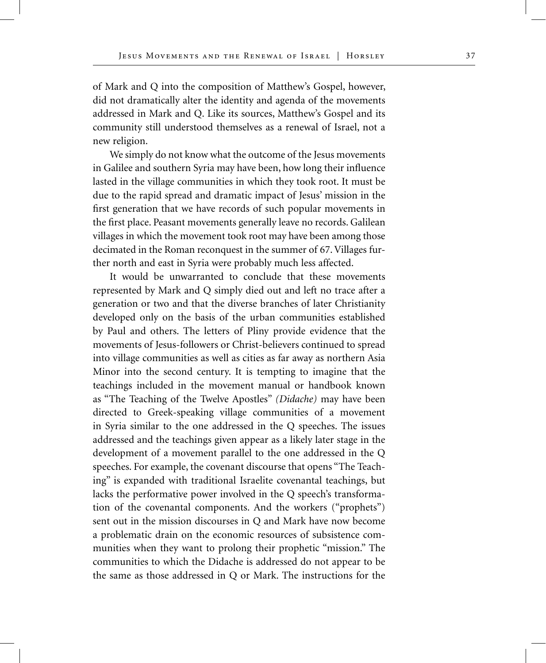of Mark and Q into the composition of Matthew's Gospel, however, did not dramatically alter the identity and agenda of the movements addressed in Mark and Q. Like its sources, Matthew's Gospel and its community still understood themselves as a renewal of Israel, not a new religion.

We simply do not know what the outcome of the Jesus movements in Galilee and southern Syria may have been, how long their influence lasted in the village communities in which they took root. It must be due to the rapid spread and dramatic impact of Jesus' mission in the first generation that we have records of such popular movements in the first place. Peasant movements generally leave no records. Galilean villages in which the movement took root may have been among those decimated in the Roman reconquest in the summer of 67. Villages further north and east in Syria were probably much less affected.

It would be unwarranted to conclude that these movements represented by Mark and Q simply died out and left no trace after a generation or two and that the diverse branches of later Christianity developed only on the basis of the urban communities established by Paul and others. The letters of Pliny provide evidence that the movements of Jesus-followers or Christ-believers continued to spread into village communities as well as cities as far away as northern Asia Minor into the second century. It is tempting to imagine that the teachings included in the movement manual or handbook known as "The Teaching of the Twelve Apostles" *(Didache)* may have been directed to Greek-speaking village communities of a movement in Syria similar to the one addressed in the Q speeches. The issues addressed and the teachings given appear as a likely later stage in the development of a movement parallel to the one addressed in the Q speeches. For example, the covenant discourse that opens "The Teaching" is expanded with traditional Israelite covenantal teachings, but lacks the performative power involved in the Q speech's transformation of the covenantal components. And the workers ("prophets") sent out in the mission discourses in Q and Mark have now become a problematic drain on the economic resources of subsistence communities when they want to prolong their prophetic "mission." The communities to which the Didache is addressed do not appear to be the same as those addressed in Q or Mark. The instructions for the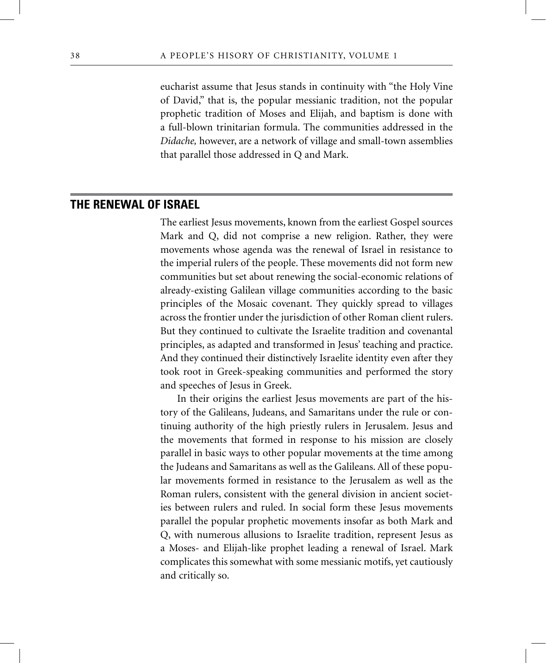eucharist assume that Jesus stands in continuity with "the Holy Vine of David," that is, the popular messianic tradition, not the popular prophetic tradition of Moses and Elijah, and baptism is done with a full-blown trinitarian formula. The communities addressed in the *Didache,* however, are a network of village and small-town assemblies that parallel those addressed in Q and Mark.

### **THE RENEWAL OF ISRAEL**

The earliest Jesus movements, known from the earliest Gospel sources Mark and Q, did not comprise a new religion. Rather, they were movements whose agenda was the renewal of Israel in resistance to the imperial rulers of the people. These movements did not form new communities but set about renewing the social-economic relations of already-existing Galilean village communities according to the basic principles of the Mosaic covenant. They quickly spread to villages across the frontier under the jurisdiction of other Roman client rulers. But they continued to cultivate the Israelite tradition and covenantal principles, as adapted and transformed in Jesus' teaching and practice. And they continued their distinctively Israelite identity even after they took root in Greek-speaking communities and performed the story and speeches of Jesus in Greek.

In their origins the earliest Jesus movements are part of the history of the Galileans, Judeans, and Samaritans under the rule or continuing authority of the high priestly rulers in Jerusalem. Jesus and the movements that formed in response to his mission are closely parallel in basic ways to other popular movements at the time among the Judeans and Samaritans as well as the Galileans. All of these popular movements formed in resistance to the Jerusalem as well as the Roman rulers, consistent with the general division in ancient societies between rulers and ruled. In social form these Jesus movements parallel the popular prophetic movements insofar as both Mark and Q, with numerous allusions to Israelite tradition, represent Jesus as a Moses- and Elijah-like prophet leading a renewal of Israel. Mark complicates this somewhat with some messianic motifs, yet cautiously and critically so.